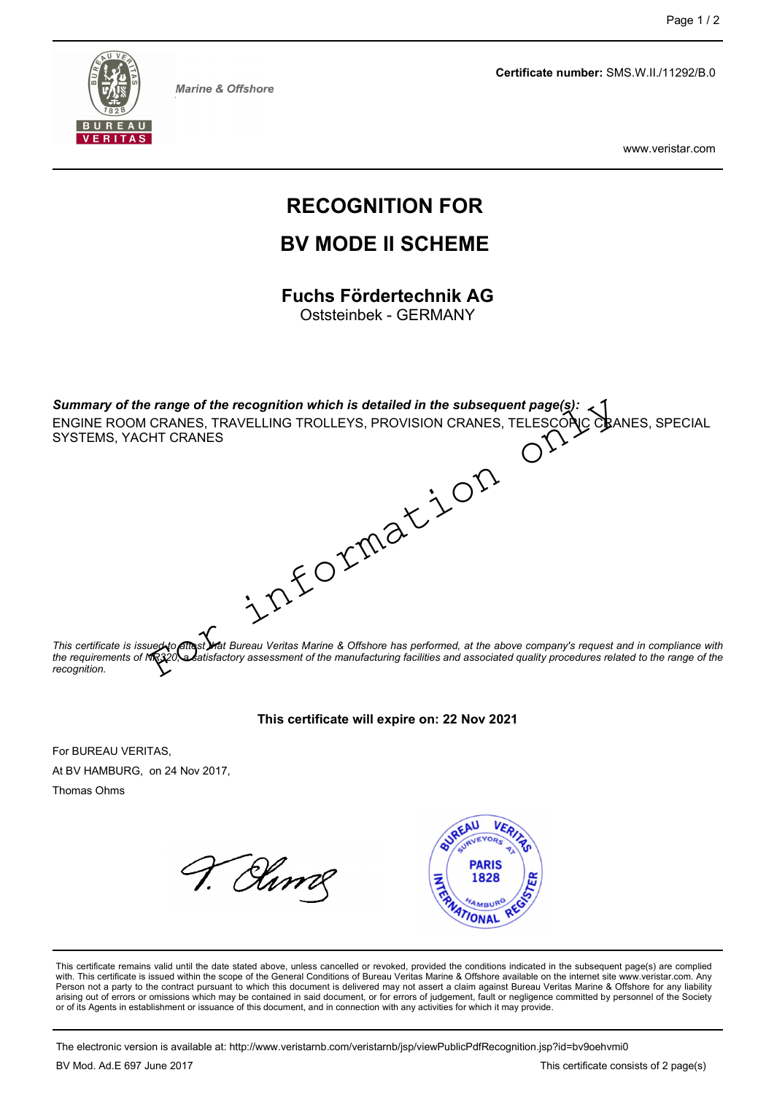

Page 1/2<br>
Certificate number: SMS.W.II./11292/B.0<br>
www.veristar.com

www.veristar.com

# Page 1/2<br>
Certificate number: SMS.W.II./11292/B.0<br>
WWW.Veristar.com<br>
RECOGNITION FOR<br>
BV MODE II SCHEME<br>
Fuchs Fördertechnik AG<br>
Oststeinbek - GERMANY Page 1/2<br>
Certificate number: SMS.W.II./11292/B.0<br>
www.veristar.com<br>
COGNITION FOR<br>
V MODE II SCHEME<br>
Chis Fördertechnik AG<br>
Oststeinbek - GERMANY Page 1/2<br>
Certificate number: SMS.W.II./11292/B.0<br>
www.veristar.com<br>
RECOGNITION FOR<br>
BV MODE II SCHEME Page 1/2<br>
Certificate number: SMS.W.II./11292/B.0<br>
WWW.Veristar.com<br>
RECOGNITION FOR<br>
BV MODE II SCHEME<br>
Fuchs Fördertechnik AG<br>
Oststeinbek - GERMANY

SUMMARY Marine & Offshore<br>
SUMMARY Marine & Offshore<br>
SUMMARY MODE II SCHEME<br>
Fuchs Fördertechnik AG<br>
SUMMARY SUMMARY<br>
SUMMARY SUMMARY<br>
SUMMARY Of the range of the recognition which is detailed in the subsequent page(s):<br> Marine & Offshore<br> **ENGINE ROOGNITION FOR<br>
BV MODE II SCHEME**<br>
Fuchs Fördertechnik AG<br>
OStsteinbek - GERMANY<br>
Summary of the range of the recognition which is detailed in the subsequent page(s):<br>
SUMMEROOM CRANES, TRAVELLI WWW.Veristar.com<br> **RECOGNITION FOR**<br> **BV MODE II SCHEME**<br>
Fuchs Fördertechnik AG<br>
Oststeinbek - GERMANY<br>
Summary of the range of the recognition which is detailed in the subsequent page(s):<br>
ENGINE ROOM CRANES, TRAVELLING Oststeinbek - GERMANY<br>
Summary of the range of the recognition which is detailed in the subsequent page(s):<br>
ENGINE ROOM CRANES, TRAVELLING TROLLEYS, PROVISION CRANES, TELESCONC CRANES, SPECIAL<br>
This certificate is insurge Summary of the range of the recognition which is detailed in the subsequent page(s):<br>
ENGINE ROOM CRANES, TRAVELLING TROLLEYS, PROVISION CRANES, TELESCONG CRANES, SPECIAL<br>
SYSTEMS, YACHT CRANES<br>
This certificate is issues Spirition which is detailed in the subsequent page(s):<br>
LING TROLLEYS, PROVISION CRANES, TELESCONG OBANES, SPECIAL<br>
CONTRIBUTION CRANES (TELESCONG OBANES, SPECIAL<br>
CONTRIBUTION CRANES (SPECIAL<br>
Veritas Marine & Offshore ha For the recognition which is detailed in the subsequent page(s):<br>CRANES, TRAVELLING TROLLEYS, PROVISION CRANES, TELESCOPIC CRANES, SPECIAL<br>HT CRANES<br>FORMATION CRANES<br>CONTRACT CRANES<br>SUPPORTING TRAVELLING TROLLEYS, PROVISIO

recognition. ENGINE ROOM CRANES, TRAVELLING TROLLEYS, PROVISION CRANES, TELES<br>SYSTEMS, YACHT CRANES<br>SYSTEMS, YACHT CRANES<br>This certificate is issued to the straight of the straight of the straight of the straight of the straight of th SYSTEMS, YACHT CRANES<br>
AT ACCORDING THE CONDUCT CONTROL CONTROL CONTROL CONTROL CONTROL CONTROL CONTROL CONTROL CONTROL CONTROL CONTROL CONTROL CONTROL CONTROL CONTROL CONTROL CONTROL CONTROL CONTROL CONTROL CONTROL CONTR This certificate is issues to the same of the series of the series of the series of the series of the series of the series of the series of the series of the series of the series of the series of the series of the series



This certificate is issues to **much that the diverse of the date of the date state of the date state above company's request and in compliance with<br>the requirements of the gap of the date state above can be an indicated a** This certificate is issued with the scope of the General Conditions of the General Conditions of the Scope of the Scope of the General Conditions of the Scope of the Scope of the Scope of the Scope of the Scope of the Scop Procedure or assertive to the contract pursuant is one of the contract pursuant of the manufacturing features and associated quality procedures related to the angle of the energy of the contractor.<br>This contribute of the c are architective and the Control of errors or omissions which may be computed in the contained in the Society of the Contained in the Control of the Control of the Control of the Society of the Control of the Society of th **This certificate will expire on: 22 Nov 2021**<br>
For BUREAU VERITAS.<br>
NEW HAMBURG, on 24 Nov 2017.<br>
Moment, and in early be connected to the subsequent of the subsequent papel of the subsequent papel and connection with an This certificate will expire on: 22 Nov 2021<br>The VHAMBURG, on 24 Nov 2017,<br>Thomas Ohms<br>
The certificate is sended until the date stated above, unless cercelled or revoluted provided the conditions indicate in the subseque For BUREAU VERITAS,<br>
The mass Ohms<br>
Moreover and Nov 2017,<br>
The confliction or aniso valid until the date stated above, unless canceled or revoked, provided the continents in the subsequent page(s) are complied<br>
This cert